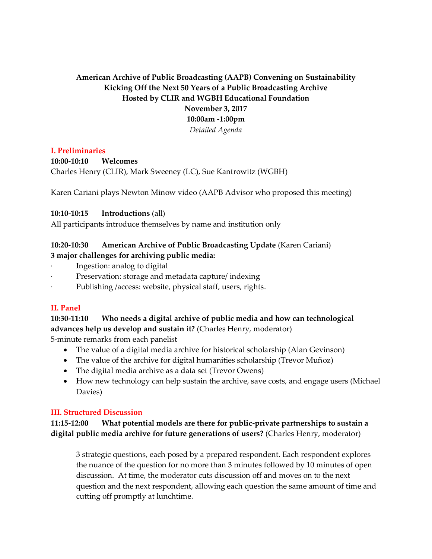## **American Archive of Public Broadcasting (AAPB) Convening on Sustainability Kicking Off the Next 50 Years of a Public Broadcasting Archive Hosted by CLIR and WGBH Educational Foundation November 3, 2017 10:00am -1:00pm** *Detailed Agenda*

## **I. Preliminaries**

## **10:00-10:10 Welcomes**

Charles Henry (CLIR), Mark Sweeney (LC), Sue Kantrowitz (WGBH)

Karen Cariani plays Newton Minow video (AAPB Advisor who proposed this meeting)

## **10:10-10:15 Introductions** (all)

All participants introduce themselves by name and institution only

#### **10:20-10:30 American Archive of Public Broadcasting Update** (Karen Cariani) **3 major challenges for archiving public media:**

- Ingestion: analog to digital
- Preservation: storage and metadata capture/ indexing
- Publishing /access: website, physical staff, users, rights.

## **II. Panel**

# **10:30-11:10 Who needs a digital archive of public media and how can technological advances help us develop and sustain it?** (Charles Henry, moderator)

5-minute remarks from each panelist

- The value of a digital media archive for historical scholarship (Alan Gevinson)
- The value of the archive for digital humanities scholarship (Trevor Muñoz)
- The digital media archive as a data set (Trevor Owens)
- How new technology can help sustain the archive, save costs, and engage users (Michael Davies)

## **III. Structured Discussion**

**11:15-12:00 What potential models are there for public-private partnerships to sustain a digital public media archive for future generations of users?** (Charles Henry, moderator)

3 strategic questions, each posed by a prepared respondent. Each respondent explores the nuance of the question for no more than 3 minutes followed by 10 minutes of open discussion. At time, the moderator cuts discussion off and moves on to the next question and the next respondent, allowing each question the same amount of time and cutting off promptly at lunchtime.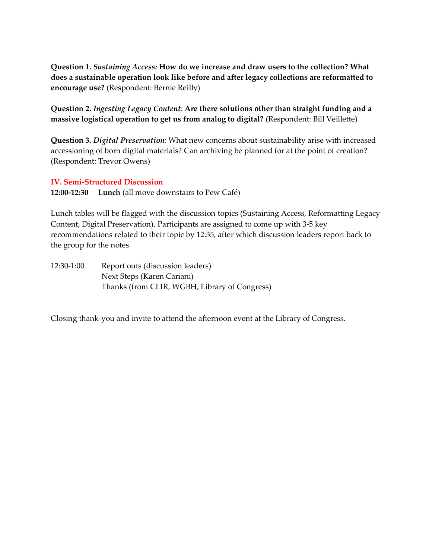**Question 1.** *Sustaining Access:* **How do we increase and draw users to the collection? What does a sustainable operation look like before and after legacy collections are reformatted to encourage use?** (Respondent: Bernie Reilly)

**Question 2.** *Ingesting Legacy Content*: **Are there solutions other than straight funding and a massive logistical operation to get us from analog to digital?** (Respondent: Bill Veillette)

**Question 3.** *Digital Preservation:* What new concerns about sustainability arise with increased accessioning of born digital materials? Can archiving be planned for at the point of creation? (Respondent: Trevor Owens)

## **IV. Semi-Structured Discussion**

**12:00-12:30 Lunch** (all move downstairs to Pew Café)

Lunch tables will be flagged with the discussion topics (Sustaining Access, Reformatting Legacy Content, Digital Preservation). Participants are assigned to come up with 3-5 key recommendations related to their topic by 12:35, after which discussion leaders report back to the group for the notes.

12:30-1:00 Report outs (discussion leaders) Next Steps (Karen Cariani) Thanks (from CLIR, WGBH, Library of Congress)

Closing thank-you and invite to attend the afternoon event at the Library of Congress.